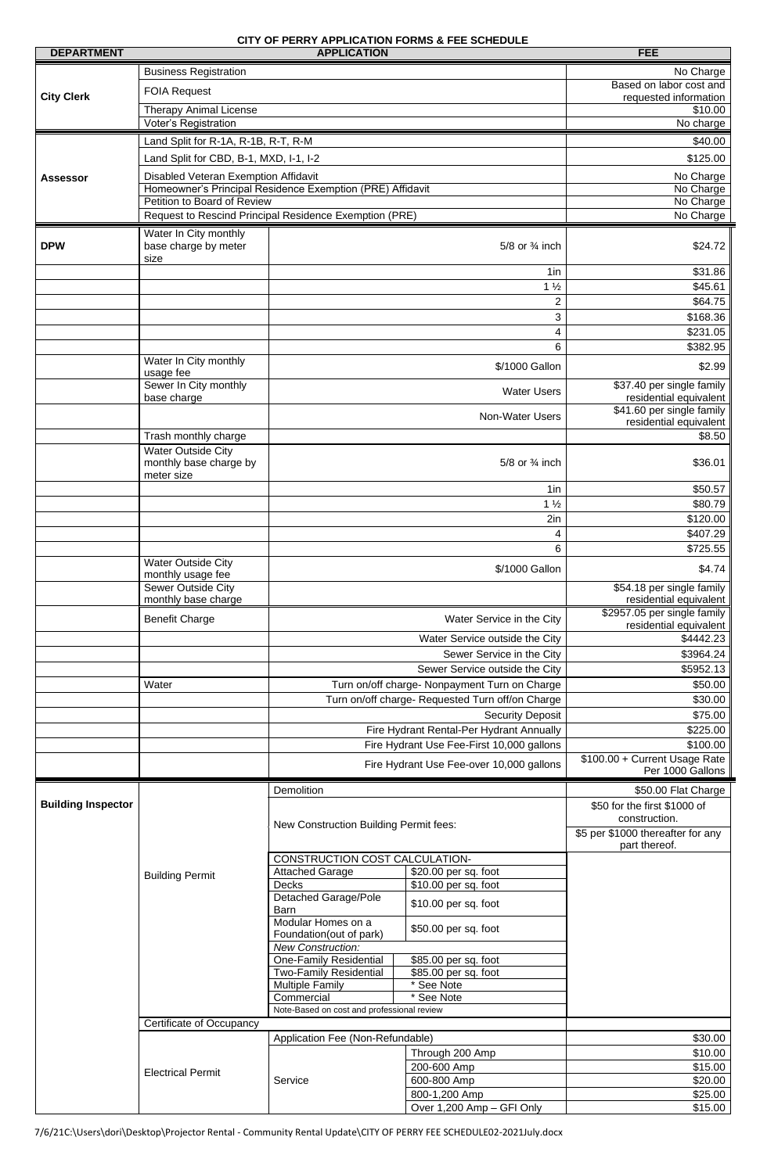## **CITY OF PERRY APPLICATION FORMS & FEE SCHEDULE**

| <b>DEPARTMENT</b>         | <b>APPLICATION</b>                                           |                                                                                                                                   |                                                  | <b>FEE</b>                                                          |
|---------------------------|--------------------------------------------------------------|-----------------------------------------------------------------------------------------------------------------------------------|--------------------------------------------------|---------------------------------------------------------------------|
|                           | <b>Business Registration</b>                                 |                                                                                                                                   |                                                  | No Charge                                                           |
|                           | <b>FOIA Request</b>                                          |                                                                                                                                   |                                                  | Based on labor cost and                                             |
| <b>City Clerk</b>         |                                                              |                                                                                                                                   |                                                  | requested information                                               |
|                           | <b>Therapy Animal License</b><br><b>Voter's Registration</b> |                                                                                                                                   | \$10.00<br>No charge                             |                                                                     |
|                           |                                                              |                                                                                                                                   |                                                  |                                                                     |
|                           | Land Split for R-1A, R-1B, R-T, R-M                          |                                                                                                                                   |                                                  | \$40.00                                                             |
|                           | Land Split for CBD, B-1, MXD, I-1, I-2                       |                                                                                                                                   |                                                  | \$125.00                                                            |
| <b>Assessor</b>           | Disabled Veteran Exemption Affidavit                         |                                                                                                                                   |                                                  | No Charge                                                           |
|                           | Petition to Board of Review                                  | Homeowner's Principal Residence Exemption (PRE) Affidavit                                                                         |                                                  | No Charge<br>No Charge                                              |
|                           |                                                              | Request to Rescind Principal Residence Exemption (PRE)                                                                            |                                                  | No Charge                                                           |
|                           | Water In City monthly                                        |                                                                                                                                   |                                                  |                                                                     |
| <b>DPW</b>                | base charge by meter<br>size                                 | 5/8 or 3/4 inch                                                                                                                   |                                                  | \$24.72                                                             |
|                           |                                                              |                                                                                                                                   | \$31.86                                          |                                                                     |
|                           |                                                              |                                                                                                                                   | $1\frac{1}{2}$                                   | \$45.61                                                             |
|                           |                                                              |                                                                                                                                   | $\overline{2}$                                   | \$64.75                                                             |
|                           |                                                              |                                                                                                                                   | 3                                                | \$168.36                                                            |
|                           |                                                              |                                                                                                                                   | 4                                                | \$231.05                                                            |
|                           |                                                              |                                                                                                                                   | 6                                                | \$382.95                                                            |
|                           | Water In City monthly<br>usage fee<br>Sewer In City monthly  |                                                                                                                                   | \$/1000 Gallon                                   | \$2.99<br>\$37.40 per single family                                 |
|                           | base charge                                                  |                                                                                                                                   | <b>Water Users</b>                               | residential equivalent                                              |
|                           |                                                              |                                                                                                                                   | <b>Non-Water Users</b>                           | \$41.60 per single family<br>residential equivalent                 |
|                           | Trash monthly charge                                         |                                                                                                                                   |                                                  | \$8.50                                                              |
|                           | <b>Water Outside City</b><br>monthly base charge by          | 5/8 or 3/4 inch                                                                                                                   |                                                  | \$36.01                                                             |
|                           | meter size<br>1in                                            |                                                                                                                                   | \$50.57                                          |                                                                     |
|                           |                                                              |                                                                                                                                   | $1\frac{1}{2}$                                   | \$80.79                                                             |
|                           |                                                              |                                                                                                                                   | 2in                                              | \$120.00                                                            |
|                           |                                                              |                                                                                                                                   | 4                                                | \$407.29                                                            |
|                           |                                                              | 6<br>\$/1000 Gallon<br>Water Service in the City<br>Water Service outside the City<br>Sewer Service in the City                   |                                                  | \$725.55                                                            |
|                           | <b>Water Outside City</b><br>monthly usage fee               |                                                                                                                                   |                                                  | \$4.74                                                              |
|                           | Sewer Outside City<br>monthly base charge                    |                                                                                                                                   |                                                  | \$54.18 per single family<br>residential equivalent                 |
|                           | <b>Benefit Charge</b>                                        |                                                                                                                                   |                                                  | \$2957.05 per single family<br>residential equivalent               |
|                           |                                                              |                                                                                                                                   |                                                  | \$4442.23                                                           |
|                           |                                                              |                                                                                                                                   |                                                  | \$3964.24                                                           |
|                           |                                                              |                                                                                                                                   | Sewer Service outside the City                   | \$5952.13                                                           |
|                           | Water                                                        | Turn on/off charge- Nonpayment Turn on Charge                                                                                     |                                                  | \$50.00                                                             |
|                           |                                                              |                                                                                                                                   | Turn on/off charge- Requested Turn off/on Charge | \$30.00<br>\$75.00                                                  |
|                           |                                                              |                                                                                                                                   | <b>Security Deposit</b>                          |                                                                     |
|                           |                                                              | Fire Hydrant Rental-Per Hydrant Annually<br>Fire Hydrant Use Fee-First 10,000 gallons<br>Fire Hydrant Use Fee-over 10,000 gallons |                                                  | \$225.00                                                            |
|                           |                                                              |                                                                                                                                   |                                                  | \$100.00                                                            |
|                           |                                                              |                                                                                                                                   |                                                  | \$100.00 + Current Usage Rate<br>Per 1000 Gallons                   |
| <b>Building Inspector</b> |                                                              | Demolition<br>New Construction Building Permit fees:                                                                              |                                                  | \$50.00 Flat Charge<br>\$50 for the first \$1000 of                 |
|                           |                                                              |                                                                                                                                   |                                                  | construction.<br>\$5 per \$1000 thereafter for any<br>part thereof. |
|                           |                                                              | CONSTRUCTION COST CALCULATION-                                                                                                    |                                                  |                                                                     |
|                           | <b>Building Permit</b>                                       | <b>Attached Garage</b>                                                                                                            | \$20.00 per sq. foot                             |                                                                     |
|                           |                                                              | <b>Decks</b><br><b>Detached Garage/Pole</b>                                                                                       | \$10.00 per sq. foot<br>\$10.00 per sq. foot     |                                                                     |
|                           |                                                              | вarn<br>Modular Homes on a                                                                                                        | \$50.00 per sq. foot                             |                                                                     |
|                           |                                                              | Foundation(out of park)<br><b>New Construction:</b><br><b>One-Family Residential</b><br>\$85.00 per sq. foot                      |                                                  |                                                                     |
|                           |                                                              | <b>Two-Family Residential</b>                                                                                                     | \$85.00 per sq. foot                             |                                                                     |
|                           |                                                              | <b>Multiple Family</b>                                                                                                            | * See Note                                       |                                                                     |
|                           |                                                              | Commercial                                                                                                                        | See Note                                         |                                                                     |
|                           |                                                              | Note-Based on cost and professional review<br>Application Fee (Non-Refundable)                                                    |                                                  |                                                                     |
|                           | <b>Certificate of Occupancy</b>                              |                                                                                                                                   |                                                  | \$30.00                                                             |
|                           | <b>Electrical Permit</b>                                     |                                                                                                                                   | Through 200 Amp                                  | \$10.00                                                             |
|                           |                                                              |                                                                                                                                   | 200-600 Amp                                      | \$15.00                                                             |
|                           |                                                              | Service                                                                                                                           | 600-800 Amp                                      | \$20.00                                                             |
|                           |                                                              |                                                                                                                                   | 800-1,200 Amp                                    | \$25.00                                                             |
|                           |                                                              |                                                                                                                                   | Over 1,200 Amp - GFI Only                        | \$15.00                                                             |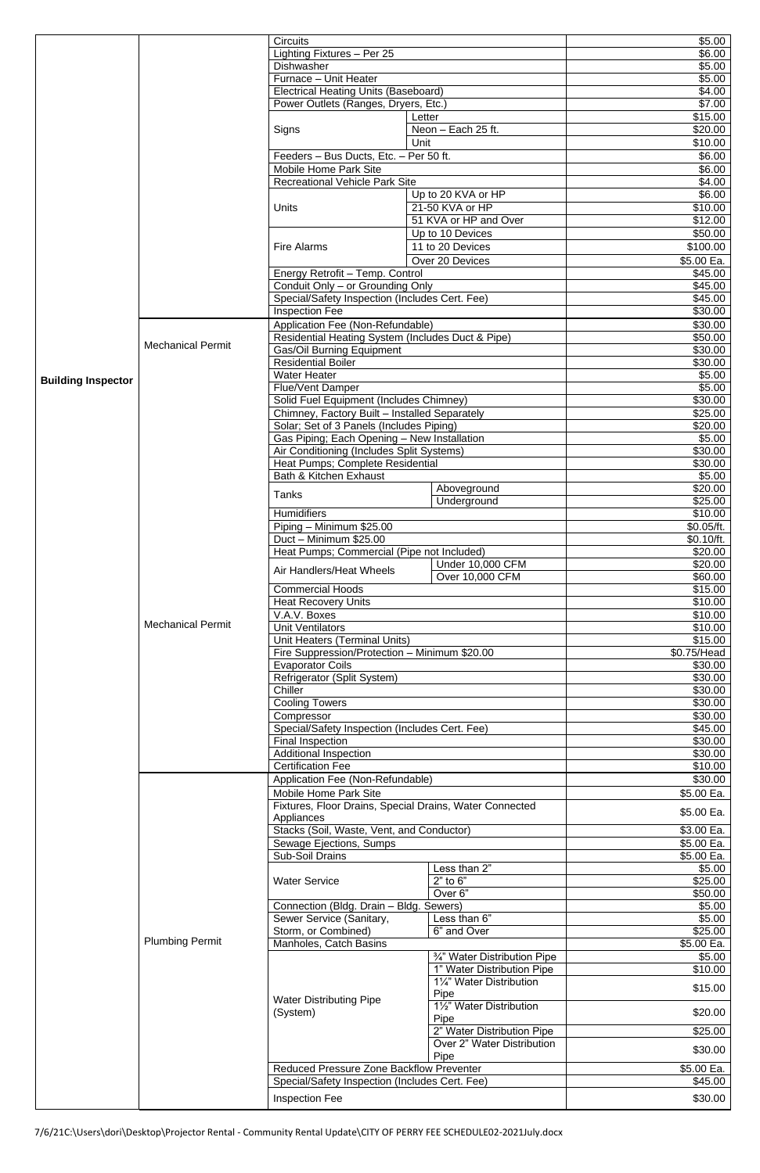|                           |                          |                                                                                                                                                    |                              | \$5.00      |
|---------------------------|--------------------------|----------------------------------------------------------------------------------------------------------------------------------------------------|------------------------------|-------------|
|                           |                          | <b>Circuits</b>                                                                                                                                    |                              |             |
|                           |                          | Lighting Fixtures - Per 25                                                                                                                         |                              | \$6.00      |
|                           |                          | Dishwasher                                                                                                                                         |                              | \$5.00      |
|                           |                          | Furnace - Unit Heater                                                                                                                              |                              | \$5.00      |
|                           |                          | <b>Electrical Heating Units (Baseboard)</b>                                                                                                        |                              | \$4.00      |
|                           |                          | Power Outlets (Ranges, Dryers, Etc.)                                                                                                               |                              | \$7.00      |
|                           |                          |                                                                                                                                                    |                              |             |
|                           |                          |                                                                                                                                                    | Letter                       | \$15.00     |
|                           |                          | Signs                                                                                                                                              | Neon - Each 25 ft.           | \$20.00     |
|                           |                          |                                                                                                                                                    | Unit                         | \$10.00     |
|                           |                          | Feeders - Bus Ducts, Etc. - Per 50 ft.                                                                                                             |                              | \$6.00      |
|                           |                          |                                                                                                                                                    |                              |             |
|                           |                          | Mobile Home Park Site                                                                                                                              |                              | \$6.00      |
|                           |                          | <b>Recreational Vehicle Park Site</b>                                                                                                              |                              | \$4.00      |
|                           |                          |                                                                                                                                                    | Up to 20 KVA or HP           | \$6.00      |
|                           |                          | <b>Units</b>                                                                                                                                       |                              |             |
|                           |                          |                                                                                                                                                    | 21-50 KVA or HP              | \$10.00     |
|                           |                          |                                                                                                                                                    | 51 KVA or HP and Over        | \$12.00     |
|                           |                          |                                                                                                                                                    | Up to 10 Devices             | \$50.00     |
|                           |                          |                                                                                                                                                    | 11 to 20 Devices             |             |
|                           |                          | <b>Fire Alarms</b>                                                                                                                                 |                              | \$100.00    |
|                           |                          |                                                                                                                                                    | Over 20 Devices              | \$5.00 Ea.  |
|                           |                          | Energy Retrofit - Temp. Control                                                                                                                    |                              | \$45.00     |
|                           |                          |                                                                                                                                                    |                              | \$45.00     |
|                           |                          | Conduit Only - or Grounding Only                                                                                                                   |                              |             |
|                           |                          | Special/Safety Inspection (Includes Cert. Fee)                                                                                                     |                              | \$45.00     |
|                           |                          | <b>Inspection Fee</b>                                                                                                                              |                              | \$30.00     |
|                           |                          | Application Fee (Non-Refundable)                                                                                                                   |                              | \$30.00     |
|                           |                          |                                                                                                                                                    |                              | \$50.00     |
|                           | <b>Mechanical Permit</b> | Residential Heating System (Includes Duct & Pipe)                                                                                                  |                              |             |
|                           |                          | <b>Gas/Oil Burning Equipment</b>                                                                                                                   |                              | \$30.00     |
|                           |                          | <b>Residential Boiler</b>                                                                                                                          |                              | \$30.00     |
|                           |                          | <b>Water Heater</b>                                                                                                                                |                              | \$5.00      |
| <b>Building Inspector</b> |                          | <b>Flue/Vent Damper</b>                                                                                                                            |                              | \$5.00      |
|                           |                          |                                                                                                                                                    |                              |             |
|                           |                          | Solid Fuel Equipment (Includes Chimney)                                                                                                            |                              | \$30.00     |
|                           |                          | Chimney, Factory Built - Installed Separately                                                                                                      |                              | \$25.00     |
|                           |                          | Solar; Set of 3 Panels (Includes Piping)                                                                                                           |                              | \$20.00     |
|                           |                          | Gas Piping; Each Opening - New Installation                                                                                                        |                              | \$5.00      |
|                           |                          |                                                                                                                                                    |                              |             |
|                           |                          | Air Conditioning (Includes Split Systems)                                                                                                          |                              | \$30.00     |
|                           |                          | Heat Pumps; Complete Residential                                                                                                                   |                              | \$30.00     |
|                           |                          | Bath & Kitchen Exhaust                                                                                                                             |                              | \$5.00      |
|                           |                          |                                                                                                                                                    | Aboveground                  | \$20.00     |
|                           |                          | <b>Tanks</b>                                                                                                                                       |                              |             |
|                           |                          |                                                                                                                                                    | Underground                  | \$25.00     |
|                           |                          | <b>Humidifiers</b>                                                                                                                                 |                              | \$10.00     |
|                           |                          | Piping - Minimum \$25.00                                                                                                                           |                              | \$0.05/ft.  |
|                           |                          | Duct - Minimum \$25.00                                                                                                                             |                              | \$0.10/ft.  |
|                           |                          |                                                                                                                                                    |                              |             |
|                           |                          | Heat Pumps; Commercial (Pipe not Included)                                                                                                         |                              | \$20.00     |
|                           | <b>Mechanical Permit</b> | Air Handlers/Heat Wheels                                                                                                                           | <b>Under 10,000 CFM</b>      | \$20.00     |
|                           |                          |                                                                                                                                                    | Over 10,000 CFM              | \$60.00     |
|                           |                          | <b>Commercial Hoods</b>                                                                                                                            |                              | \$15.00     |
|                           |                          |                                                                                                                                                    |                              |             |
|                           |                          | <b>Heat Recovery Units</b>                                                                                                                         |                              | \$10.00     |
|                           |                          | V.A.V. Boxes<br><b>Unit Ventilators</b><br>Unit Heaters (Terminal Units)<br>Fire Suppression/Protection - Minimum \$20.00                          |                              | \$10.00     |
|                           |                          |                                                                                                                                                    |                              | \$10.00     |
|                           |                          |                                                                                                                                                    |                              | \$15.00     |
|                           |                          |                                                                                                                                                    |                              |             |
|                           |                          |                                                                                                                                                    |                              | \$0.75/Head |
|                           |                          | <b>Evaporator Coils</b>                                                                                                                            |                              | \$30.00     |
|                           |                          | Refrigerator (Split System)                                                                                                                        |                              | \$30.00     |
|                           |                          |                                                                                                                                                    |                              | \$30.00     |
|                           |                          | Chiller<br><b>Cooling Towers</b><br>Compressor<br>Special/Safety Inspection (Includes Cert. Fee)                                                   |                              |             |
|                           |                          |                                                                                                                                                    |                              | \$30.00     |
|                           |                          |                                                                                                                                                    |                              | \$30.00     |
|                           |                          |                                                                                                                                                    |                              | \$45.00     |
|                           |                          | <b>Final Inspection</b>                                                                                                                            |                              | \$30.00     |
|                           |                          |                                                                                                                                                    |                              |             |
|                           |                          | <b>Additional Inspection</b>                                                                                                                       |                              | \$30.00     |
|                           |                          | <b>Certification Fee</b>                                                                                                                           |                              | \$10.00     |
|                           |                          | Application Fee (Non-Refundable)                                                                                                                   |                              | \$30.00     |
|                           |                          | <b>Mobile Home Park Site</b><br>Fixtures, Floor Drains, Special Drains, Water Connected<br>Appliances<br>Stacks (Soil, Waste, Vent, and Conductor) |                              | \$5.00 Ea.  |
|                           |                          |                                                                                                                                                    |                              |             |
|                           |                          |                                                                                                                                                    |                              | \$5.00 Ea.  |
|                           |                          |                                                                                                                                                    |                              |             |
|                           |                          |                                                                                                                                                    |                              | \$3.00 Ea.  |
|                           | <b>Plumbing Permit</b>   | Sewage Ejections, Sumps                                                                                                                            |                              | \$5.00 Ea.  |
|                           |                          | Sub-Soil Drains                                                                                                                                    |                              | \$5.00 Ea.  |
|                           |                          |                                                                                                                                                    |                              |             |
|                           |                          |                                                                                                                                                    | Less than 2"                 | \$5.00      |
|                           |                          | <b>Water Service</b>                                                                                                                               | $2"$ to $6"$                 | \$25.00     |
|                           |                          |                                                                                                                                                    | Over <sub>6</sub> "          | \$50.00     |
|                           |                          | Connection (Bldg. Drain - Bldg. Sewers)                                                                                                            |                              | \$5.00      |
|                           |                          |                                                                                                                                                    | Less than 6"                 |             |
|                           |                          | Sewer Service (Sanitary,                                                                                                                           |                              | \$5.00      |
|                           |                          | Storm, or Combined)                                                                                                                                | 6" and Over                  | \$25.00     |
|                           |                          | Manholes, Catch Basins                                                                                                                             |                              | \$5.00 Ea.  |
|                           |                          |                                                                                                                                                    | 3/4" Water Distribution Pipe | \$5.00      |
|                           |                          |                                                                                                                                                    | 1" Water Distribution Pipe   | \$10.00     |
|                           |                          |                                                                                                                                                    |                              |             |
|                           |                          |                                                                                                                                                    | 11/4" Water Distribution     | \$15.00     |
|                           |                          |                                                                                                                                                    | Pipe                         |             |
|                           |                          | <b>Water Distributing Pipe</b>                                                                                                                     | 11/2" Water Distribution     |             |
|                           |                          | (System)                                                                                                                                           | Pipe                         | \$20.00     |
|                           |                          |                                                                                                                                                    |                              |             |
|                           |                          |                                                                                                                                                    | 2" Water Distribution Pipe   | \$25.00     |
|                           |                          |                                                                                                                                                    | Over 2" Water Distribution   | \$30.00     |
|                           |                          |                                                                                                                                                    | Pipe                         |             |
|                           |                          |                                                                                                                                                    |                              |             |
|                           |                          |                                                                                                                                                    |                              |             |
|                           |                          | Reduced Pressure Zone Backflow Preventer                                                                                                           |                              | \$5.00 Ea.  |
|                           |                          | Special/Safety Inspection (Includes Cert. Fee)                                                                                                     |                              | \$45.00     |
|                           |                          | <b>Inspection Fee</b>                                                                                                                              |                              | \$30.00     |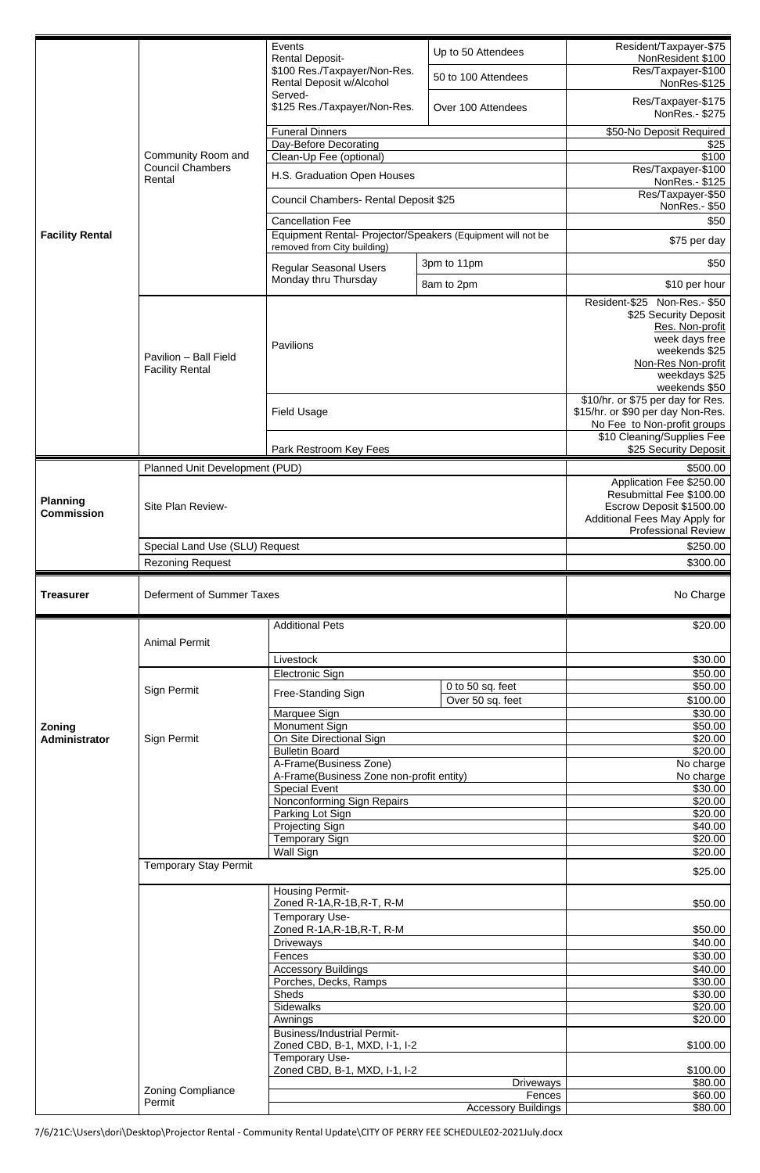|                                      |                                                           | Events<br><b>Rental Deposit-</b>                                                           | Up to 50 Attendees         | Resident/Taxpayer-\$75<br>NonResident \$100                                                                                                                            |
|--------------------------------------|-----------------------------------------------------------|--------------------------------------------------------------------------------------------|----------------------------|------------------------------------------------------------------------------------------------------------------------------------------------------------------------|
|                                      |                                                           | \$100 Res./Taxpayer/Non-Res.<br><b>Rental Deposit w/Alcohol</b>                            | 50 to 100 Attendees        | Res/Taxpayer-\$100<br>NonRes-\$125                                                                                                                                     |
|                                      | Community Room and<br><b>Council Chambers</b><br>Rental   | Served-<br>\$125 Res./Taxpayer/Non-Res.                                                    | Over 100 Attendees         | Res/Taxpayer-\$175<br>NonRes.- \$275                                                                                                                                   |
|                                      |                                                           | <b>Funeral Dinners</b>                                                                     |                            | \$50-No Deposit Required                                                                                                                                               |
|                                      |                                                           | Day-Before Decorating                                                                      |                            | \$25                                                                                                                                                                   |
|                                      |                                                           | Clean-Up Fee (optional)                                                                    |                            | \$100                                                                                                                                                                  |
|                                      |                                                           | H.S. Graduation Open Houses                                                                |                            | Res/Taxpayer-\$100<br>NonRes.- \$125                                                                                                                                   |
|                                      |                                                           | Council Chambers- Rental Deposit \$25                                                      |                            | Res/Taxpayer-\$50<br>NonRes.- \$50                                                                                                                                     |
|                                      |                                                           | <b>Cancellation Fee</b>                                                                    |                            | \$50                                                                                                                                                                   |
| <b>Facility Rental</b>               |                                                           | Equipment Rental- Projector/Speakers (Equipment will not be<br>removed from City building) |                            | \$75 per day                                                                                                                                                           |
|                                      |                                                           | <b>Regular Seasonal Users</b>                                                              | 3pm to 11pm                | \$50                                                                                                                                                                   |
|                                      |                                                           | Monday thru Thursday                                                                       | 8am to 2pm                 | \$10 per hour                                                                                                                                                          |
|                                      | Pavilion - Ball Field<br><b>Facility Rental</b>           | Pavilions                                                                                  |                            | Resident-\$25<br>Non-Res.- \$50<br>\$25 Security Deposit<br>Res. Non-profit<br>week days free<br>weekends \$25<br>Non-Res Non-profit<br>weekdays \$25<br>weekends \$50 |
|                                      |                                                           | <b>Field Usage</b>                                                                         |                            | \$10/hr. or \$75 per day for Res.<br>\$15/hr. or \$90 per day Non-Res.<br>No Fee to Non-profit groups                                                                  |
|                                      |                                                           | Park Restroom Key Fees                                                                     |                            | \$10 Cleaning/Supplies Fee<br>\$25 Security Deposit                                                                                                                    |
|                                      | Planned Unit Development (PUD)                            |                                                                                            |                            | \$500.00                                                                                                                                                               |
|                                      |                                                           |                                                                                            |                            | Application Fee \$250.00<br>Resubmittal Fee \$100.00                                                                                                                   |
| <b>Planning</b><br><b>Commission</b> | Site Plan Review-                                         |                                                                                            |                            | Escrow Deposit \$1500.00<br>Additional Fees May Apply for                                                                                                              |
|                                      |                                                           |                                                                                            |                            | <b>Professional Review</b><br>\$250.00                                                                                                                                 |
|                                      | Special Land Use (SLU) Request<br><b>Rezoning Request</b> |                                                                                            |                            | \$300.00                                                                                                                                                               |
|                                      |                                                           |                                                                                            |                            |                                                                                                                                                                        |
|                                      |                                                           |                                                                                            |                            |                                                                                                                                                                        |
| <b>Treasurer</b>                     | Deferment of Summer Taxes                                 |                                                                                            |                            | No Charge                                                                                                                                                              |
|                                      |                                                           | <b>Additional Pets</b>                                                                     |                            | \$20.00                                                                                                                                                                |
|                                      | <b>Animal Permit</b>                                      |                                                                                            |                            |                                                                                                                                                                        |
|                                      |                                                           | Livestock                                                                                  |                            | \$30.00                                                                                                                                                                |
|                                      |                                                           | <b>Electronic Sign</b>                                                                     | 0 to 50 sq. feet           | \$50.00<br>\$50.00                                                                                                                                                     |
|                                      | Sign Permit                                               | Free-Standing Sign                                                                         | Over 50 sq. feet           | \$100.00                                                                                                                                                               |
|                                      |                                                           | Marquee Sign                                                                               |                            | \$30.00                                                                                                                                                                |
| Zoning                               |                                                           | Monument Sign                                                                              |                            | \$50.00                                                                                                                                                                |
| <b>Administrator</b>                 | Sign Permit                                               | On Site Directional Sign<br><b>Bulletin Board</b>                                          |                            | \$20.00<br>\$20.00                                                                                                                                                     |
|                                      |                                                           | A-Frame(Business Zone)                                                                     |                            | No charge                                                                                                                                                              |
|                                      |                                                           | A-Frame(Business Zone non-profit entity)                                                   |                            | No charge                                                                                                                                                              |
|                                      |                                                           | <b>Special Event</b><br>Nonconforming Sign Repairs                                         |                            | \$30.00<br>\$20.00                                                                                                                                                     |
|                                      |                                                           | Parking Lot Sign                                                                           |                            | \$20.00                                                                                                                                                                |
|                                      |                                                           | <b>Projecting Sign</b>                                                                     |                            | \$40.00                                                                                                                                                                |
|                                      |                                                           | <b>Temporary Sign</b><br><b>Wall Sign</b>                                                  |                            | \$20.00<br>\$20.00                                                                                                                                                     |
|                                      | <b>Temporary Stay Permit</b>                              |                                                                                            |                            | \$25.00                                                                                                                                                                |
|                                      |                                                           | <b>Housing Permit-</b><br>Zoned R-1A, R-1B, R-T, R-M                                       |                            | \$50.00                                                                                                                                                                |
|                                      |                                                           | Temporary Use-<br>Zoned R-1A, R-1B, R-T, R-M                                               |                            | \$50.00                                                                                                                                                                |
|                                      |                                                           | <b>Driveways</b>                                                                           |                            | \$40.00                                                                                                                                                                |
|                                      |                                                           | Fences                                                                                     |                            | \$30.00                                                                                                                                                                |
|                                      |                                                           | <b>Accessory Buildings</b><br>Porches, Decks, Ramps                                        |                            | \$40.00<br>\$30.00                                                                                                                                                     |
|                                      |                                                           | <b>Sheds</b>                                                                               |                            | \$30.00                                                                                                                                                                |
|                                      |                                                           | <b>Sidewalks</b>                                                                           |                            | \$20.00                                                                                                                                                                |
|                                      |                                                           | Awnings                                                                                    |                            | \$20.00                                                                                                                                                                |
|                                      |                                                           | <b>Business/Industrial Permit-</b><br>Zoned CBD, B-1, MXD, I-1, I-2                        |                            | \$100.00                                                                                                                                                               |
|                                      |                                                           | Temporary Use-<br>Zoned CBD, B-1, MXD, I-1, I-2                                            |                            | \$100.00                                                                                                                                                               |
|                                      | <b>Zoning Compliance</b>                                  |                                                                                            | <b>Driveways</b><br>Fences | \$80.00<br>\$60.00                                                                                                                                                     |